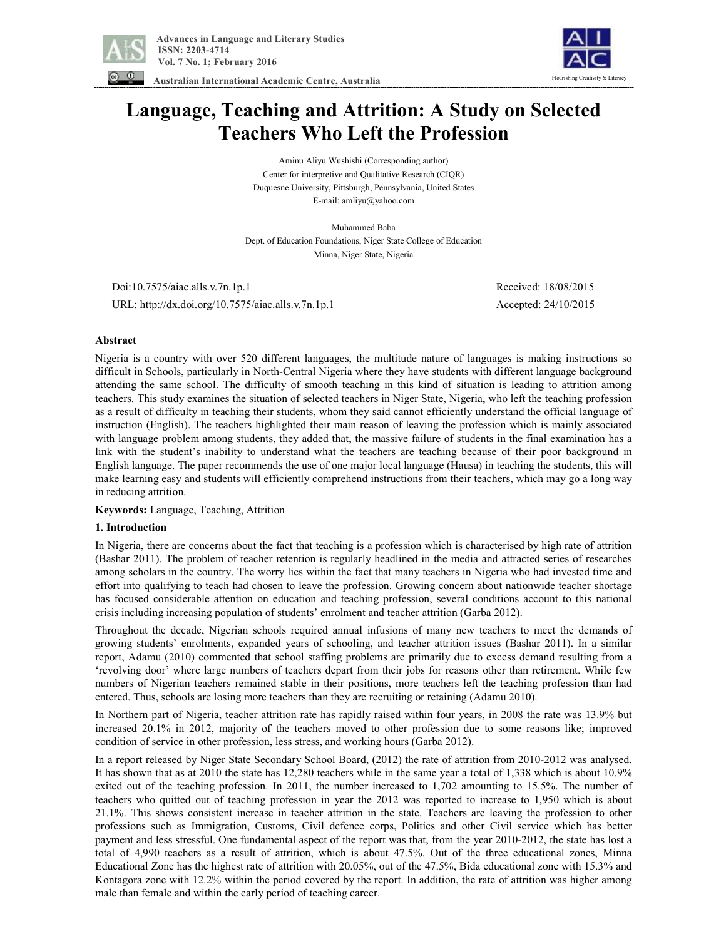



 **Australian International Academic Centre, Australia** 

# **Language, Teaching and Attrition: A Study on Selected Teachers Who Left the Profession**

Aminu Aliyu Wushishi (Corresponding author) Center for interpretive and Qualitative Research (CIQR) Duquesne University, Pittsburgh, Pennsylvania, United States E-mail: amliyu@yahoo.com

Muhammed Baba Dept. of Education Foundations, Niger State College of Education Minna, Niger State, Nigeria

 Doi:10.7575/aiac.alls.v.7n.1p.1 Received: 18/08/2015 URL: http://dx.doi.org/10.7575/aiac.alls.v.7n.1p.1 Accepted: 24/10/2015

## **Abstract**

Nigeria is a country with over 520 different languages, the multitude nature of languages is making instructions so difficult in Schools, particularly in North-Central Nigeria where they have students with different language background attending the same school. The difficulty of smooth teaching in this kind of situation is leading to attrition among teachers. This study examines the situation of selected teachers in Niger State, Nigeria, who left the teaching profession as a result of difficulty in teaching their students, whom they said cannot efficiently understand the official language of instruction (English). The teachers highlighted their main reason of leaving the profession which is mainly associated with language problem among students, they added that, the massive failure of students in the final examination has a link with the student's inability to understand what the teachers are teaching because of their poor background in English language. The paper recommends the use of one major local language (Hausa) in teaching the students, this will make learning easy and students will efficiently comprehend instructions from their teachers, which may go a long way in reducing attrition.

## **Keywords:** Language, Teaching, Attrition

## **1. Introduction**

In Nigeria, there are concerns about the fact that teaching is a profession which is characterised by high rate of attrition (Bashar 2011). The problem of teacher retention is regularly headlined in the media and attracted series of researches among scholars in the country. The worry lies within the fact that many teachers in Nigeria who had invested time and effort into qualifying to teach had chosen to leave the profession. Growing concern about nationwide teacher shortage has focused considerable attention on education and teaching profession, several conditions account to this national crisis including increasing population of students' enrolment and teacher attrition (Garba 2012).

Throughout the decade, Nigerian schools required annual infusions of many new teachers to meet the demands of growing students' enrolments, expanded years of schooling, and teacher attrition issues (Bashar 2011). In a similar report, Adamu (2010) commented that school staffing problems are primarily due to excess demand resulting from a 'revolving door' where large numbers of teachers depart from their jobs for reasons other than retirement. While few numbers of Nigerian teachers remained stable in their positions, more teachers left the teaching profession than had entered. Thus, schools are losing more teachers than they are recruiting or retaining (Adamu 2010).

In Northern part of Nigeria, teacher attrition rate has rapidly raised within four years, in 2008 the rate was 13.9% but increased 20.1% in 2012, majority of the teachers moved to other profession due to some reasons like; improved condition of service in other profession, less stress, and working hours (Garba 2012).

In a report released by Niger State Secondary School Board, (2012) the rate of attrition from 2010-2012 was analysed. It has shown that as at 2010 the state has 12,280 teachers while in the same year a total of 1,338 which is about 10.9% exited out of the teaching profession. In 2011, the number increased to 1,702 amounting to 15.5%. The number of teachers who quitted out of teaching profession in year the 2012 was reported to increase to 1,950 which is about 21.1%. This shows consistent increase in teacher attrition in the state. Teachers are leaving the profession to other professions such as Immigration, Customs, Civil defence corps, Politics and other Civil service which has better payment and less stressful. One fundamental aspect of the report was that, from the year 2010-2012, the state has lost a total of 4,990 teachers as a result of attrition, which is about 47.5%. Out of the three educational zones, Minna Educational Zone has the highest rate of attrition with 20.05%, out of the 47.5%, Bida educational zone with 15.3% and Kontagora zone with 12.2% within the period covered by the report. In addition, the rate of attrition was higher among male than female and within the early period of teaching career.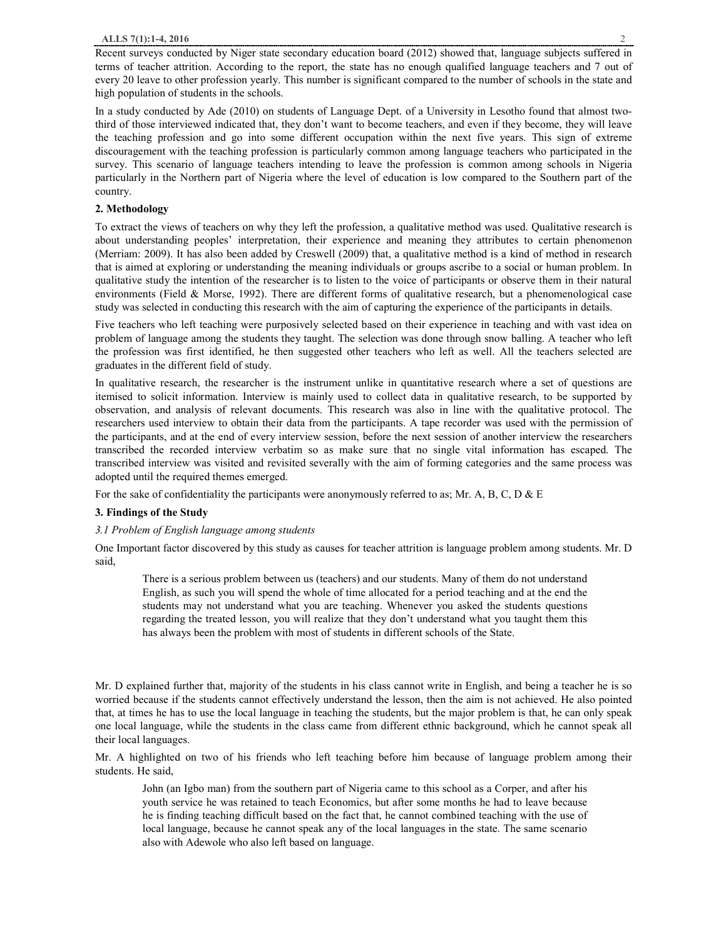Recent surveys conducted by Niger state secondary education board (2012) showed that, language subjects suffered in terms of teacher attrition. According to the report, the state has no enough qualified language teachers and 7 out of every 20 leave to other profession yearly. This number is significant compared to the number of schools in the state and high population of students in the schools.

In a study conducted by Ade (2010) on students of Language Dept. of a University in Lesotho found that almost twothird of those interviewed indicated that, they don't want to become teachers, and even if they become, they will leave the teaching profession and go into some different occupation within the next five years. This sign of extreme discouragement with the teaching profession is particularly common among language teachers who participated in the survey. This scenario of language teachers intending to leave the profession is common among schools in Nigeria particularly in the Northern part of Nigeria where the level of education is low compared to the Southern part of the country.

## **2. Methodology**

To extract the views of teachers on why they left the profession, a qualitative method was used. Qualitative research is about understanding peoples' interpretation, their experience and meaning they attributes to certain phenomenon (Merriam: 2009). It has also been added by Creswell (2009) that, a qualitative method is a kind of method in research that is aimed at exploring or understanding the meaning individuals or groups ascribe to a social or human problem. In qualitative study the intention of the researcher is to listen to the voice of participants or observe them in their natural environments (Field & Morse, 1992). There are different forms of qualitative research, but a phenomenological case study was selected in conducting this research with the aim of capturing the experience of the participants in details.

Five teachers who left teaching were purposively selected based on their experience in teaching and with vast idea on problem of language among the students they taught. The selection was done through snow balling. A teacher who left the profession was first identified, he then suggested other teachers who left as well. All the teachers selected are graduates in the different field of study.

In qualitative research, the researcher is the instrument unlike in quantitative research where a set of questions are itemised to solicit information. Interview is mainly used to collect data in qualitative research, to be supported by observation, and analysis of relevant documents. This research was also in line with the qualitative protocol. The researchers used interview to obtain their data from the participants. A tape recorder was used with the permission of the participants, and at the end of every interview session, before the next session of another interview the researchers transcribed the recorded interview verbatim so as make sure that no single vital information has escaped. The transcribed interview was visited and revisited severally with the aim of forming categories and the same process was adopted until the required themes emerged.

For the sake of confidentiality the participants were anonymously referred to as; Mr. A, B, C, D & E

## **3. Findings of the Study**

## *3.1 Problem of English language among students*

One Important factor discovered by this study as causes for teacher attrition is language problem among students. Mr. D said,

There is a serious problem between us (teachers) and our students. Many of them do not understand English, as such you will spend the whole of time allocated for a period teaching and at the end the students may not understand what you are teaching. Whenever you asked the students questions regarding the treated lesson, you will realize that they don't understand what you taught them this has always been the problem with most of students in different schools of the State.

Mr. D explained further that, majority of the students in his class cannot write in English, and being a teacher he is so worried because if the students cannot effectively understand the lesson, then the aim is not achieved. He also pointed that, at times he has to use the local language in teaching the students, but the major problem is that, he can only speak one local language, while the students in the class came from different ethnic background, which he cannot speak all their local languages.

Mr. A highlighted on two of his friends who left teaching before him because of language problem among their students. He said,

John (an Igbo man) from the southern part of Nigeria came to this school as a Corper, and after his youth service he was retained to teach Economics, but after some months he had to leave because he is finding teaching difficult based on the fact that, he cannot combined teaching with the use of local language, because he cannot speak any of the local languages in the state. The same scenario also with Adewole who also left based on language.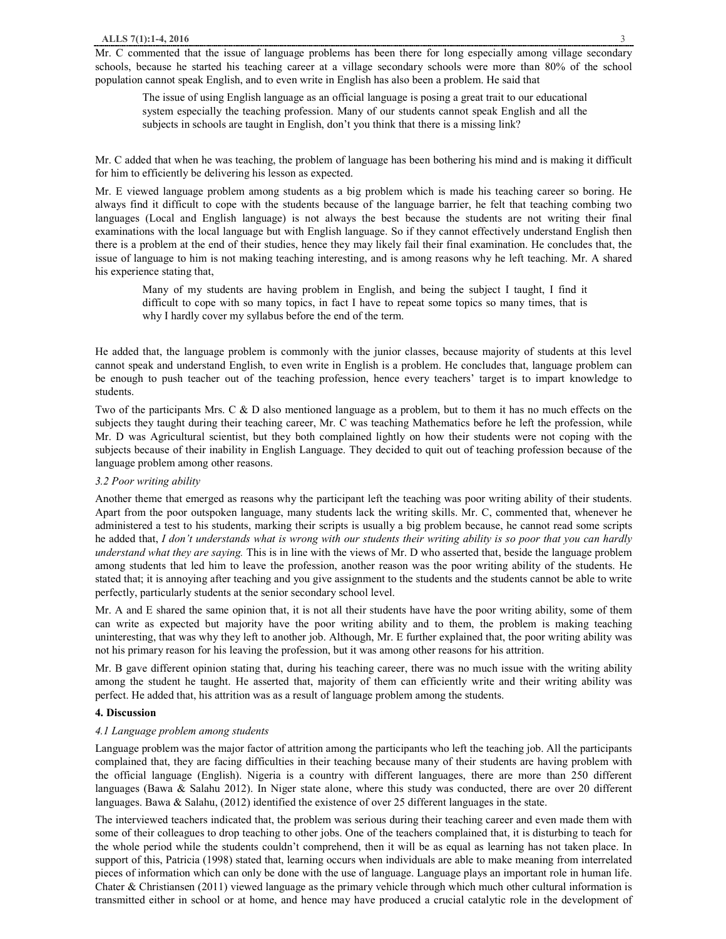Mr. C commented that the issue of language problems has been there for long especially among village secondary schools, because he started his teaching career at a village secondary schools were more than 80% of the school population cannot speak English, and to even write in English has also been a problem. He said that

The issue of using English language as an official language is posing a great trait to our educational system especially the teaching profession. Many of our students cannot speak English and all the subjects in schools are taught in English, don't you think that there is a missing link?

Mr. C added that when he was teaching, the problem of language has been bothering his mind and is making it difficult for him to efficiently be delivering his lesson as expected.

Mr. E viewed language problem among students as a big problem which is made his teaching career so boring. He always find it difficult to cope with the students because of the language barrier, he felt that teaching combing two languages (Local and English language) is not always the best because the students are not writing their final examinations with the local language but with English language. So if they cannot effectively understand English then there is a problem at the end of their studies, hence they may likely fail their final examination. He concludes that, the issue of language to him is not making teaching interesting, and is among reasons why he left teaching. Mr. A shared his experience stating that,

Many of my students are having problem in English, and being the subject I taught, I find it difficult to cope with so many topics, in fact I have to repeat some topics so many times, that is why I hardly cover my syllabus before the end of the term.

He added that, the language problem is commonly with the junior classes, because majority of students at this level cannot speak and understand English, to even write in English is a problem. He concludes that, language problem can be enough to push teacher out of the teaching profession, hence every teachers' target is to impart knowledge to students.

Two of the participants Mrs. C & D also mentioned language as a problem, but to them it has no much effects on the subjects they taught during their teaching career, Mr. C was teaching Mathematics before he left the profession, while Mr. D was Agricultural scientist, but they both complained lightly on how their students were not coping with the subjects because of their inability in English Language. They decided to quit out of teaching profession because of the language problem among other reasons.

## *3.2 Poor writing ability*

Another theme that emerged as reasons why the participant left the teaching was poor writing ability of their students. Apart from the poor outspoken language, many students lack the writing skills. Mr. C, commented that, whenever he administered a test to his students, marking their scripts is usually a big problem because, he cannot read some scripts he added that, I don't understands what is wrong with our students their writing ability is so poor that you can hardly *understand what they are saying.* This is in line with the views of Mr. D who asserted that, beside the language problem among students that led him to leave the profession, another reason was the poor writing ability of the students. He stated that; it is annoying after teaching and you give assignment to the students and the students cannot be able to write perfectly, particularly students at the senior secondary school level.

Mr. A and E shared the same opinion that, it is not all their students have have the poor writing ability, some of them can write as expected but majority have the poor writing ability and to them, the problem is making teaching uninteresting, that was why they left to another job. Although, Mr. E further explained that, the poor writing ability was not his primary reason for his leaving the profession, but it was among other reasons for his attrition.

Mr. B gave different opinion stating that, during his teaching career, there was no much issue with the writing ability among the student he taught. He asserted that, majority of them can efficiently write and their writing ability was perfect. He added that, his attrition was as a result of language problem among the students.

## **4. Discussion**

## *4.1 Language problem among students*

Language problem was the major factor of attrition among the participants who left the teaching job. All the participants complained that, they are facing difficulties in their teaching because many of their students are having problem with the official language (English). Nigeria is a country with different languages, there are more than 250 different languages (Bawa & Salahu 2012). In Niger state alone, where this study was conducted, there are over 20 different languages. Bawa & Salahu, (2012) identified the existence of over 25 different languages in the state.

The interviewed teachers indicated that, the problem was serious during their teaching career and even made them with some of their colleagues to drop teaching to other jobs. One of the teachers complained that, it is disturbing to teach for the whole period while the students couldn't comprehend, then it will be as equal as learning has not taken place. In support of this, Patricia (1998) stated that, learning occurs when individuals are able to make meaning from interrelated pieces of information which can only be done with the use of language. Language plays an important role in human life. Chater & Christiansen (2011) viewed language as the primary vehicle through which much other cultural information is transmitted either in school or at home, and hence may have produced a crucial catalytic role in the development of